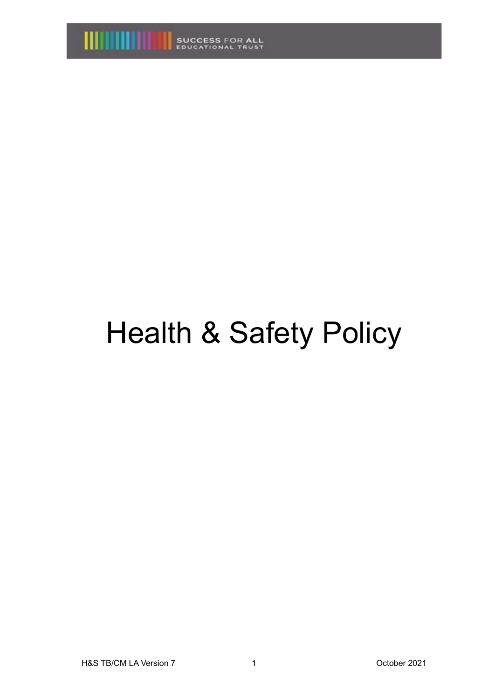

# Health & Safety Policy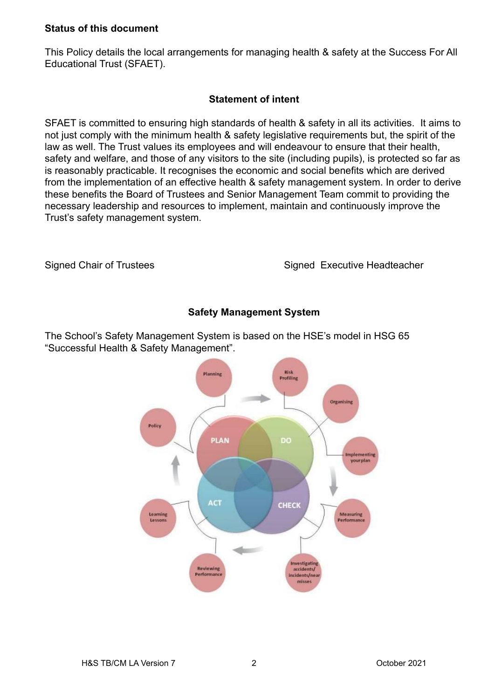## **Status of this document**

This Policy details the local arrangements for managing health & safety at the Success For All Educational Trust (SFAET).

## **Statement of intent**

SFAET is committed to ensuring high standards of health & safety in all its activities. It aims to not just comply with the minimum health & safety legislative requirements but, the spirit of the law as well. The Trust values its employees and will endeavour to ensure that their health, safety and welfare, and those of any visitors to the site (including pupils), is protected so far as is reasonably practicable. It recognises the economic and social benefits which are derived from the implementation of an effective health & safety management system. In order to derive these benefits the Board of Trustees and Senior Management Team commit to providing the necessary leadership and resources to implement, maintain and continuously improve the Trust's safety management system.

Signed Chair of Trustees Signed Executive Headteacher

## **Safety Management System**

The School's Safety Management System is based on the HSE's model in HSG 65 "Successful Health & Safety Management".

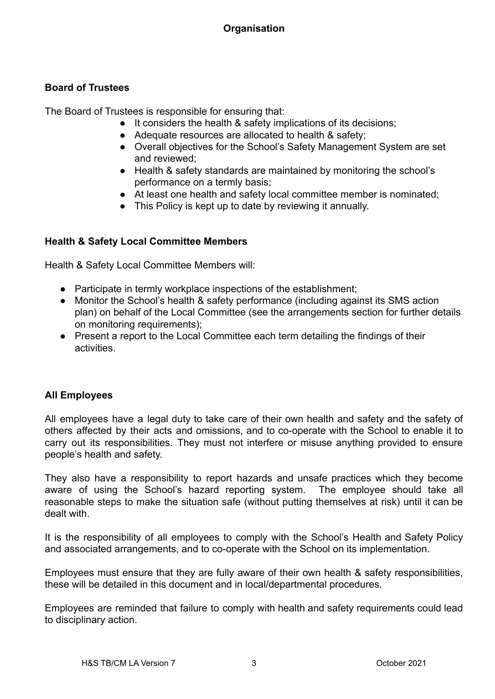# **Board of Trustees**

The Board of Trustees is responsible for ensuring that:

- It considers the health & safety implications of its decisions;
- Adequate resources are allocated to health & safety;
- Overall objectives for the School's Safety Management System are set and reviewed;
- Health & safety standards are maintained by monitoring the school's performance on a termly basis;
- At least one health and safety local committee member is nominated;
- This Policy is kept up to date by reviewing it annually.

# **Health & Safety Local Committee Members**

Health & Safety Local Committee Members will:

- Participate in termly workplace inspections of the establishment;
- Monitor the School's health & safety performance (including against its SMS action plan) on behalf of the Local Committee (see the arrangements section for further details on monitoring requirements);
- Present a report to the Local Committee each term detailing the findings of their activities.

## **All Employees**

All employees have a legal duty to take care of their own health and safety and the safety of others affected by their acts and omissions, and to co-operate with the School to enable it to carry out its responsibilities. They must not interfere or misuse anything provided to ensure people's health and safety.

They also have a responsibility to report hazards and unsafe practices which they become aware of using the School's hazard reporting system. The employee should take all reasonable steps to make the situation safe (without putting themselves at risk) until it can be dealt with.

It is the responsibility of all employees to comply with the School's Health and Safety Policy and associated arrangements, and to co-operate with the School on its implementation.

Employees must ensure that they are fully aware of their own health & safety responsibilities, these will be detailed in this document and in local/departmental procedures.

Employees are reminded that failure to comply with health and safety requirements could lead to disciplinary action.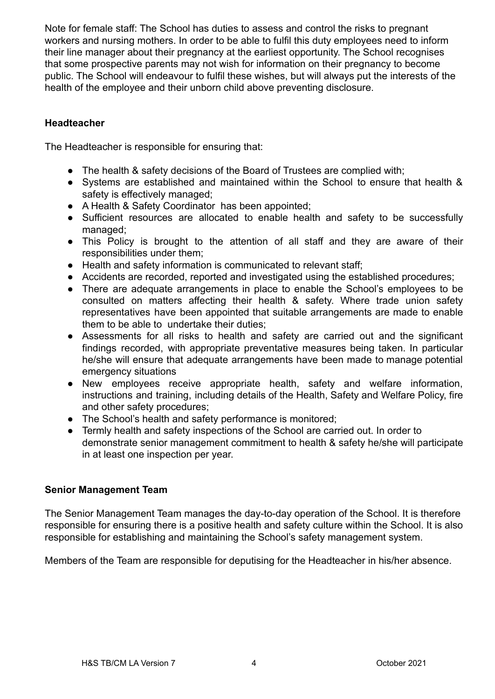Note for female staff: The School has duties to assess and control the risks to pregnant workers and nursing mothers. In order to be able to fulfil this duty employees need to inform their line manager about their pregnancy at the earliest opportunity. The School recognises that some prospective parents may not wish for information on their pregnancy to become public. The School will endeavour to fulfil these wishes, but will always put the interests of the health of the employee and their unborn child above preventing disclosure.

## **Headteacher**

The Headteacher is responsible for ensuring that:

- The health & safety decisions of the Board of Trustees are complied with;
- Systems are established and maintained within the School to ensure that health & safety is effectively managed;
- A Health & Safety Coordinator has been appointed;
- Sufficient resources are allocated to enable health and safety to be successfully managed;
- This Policy is brought to the attention of all staff and they are aware of their responsibilities under them;
- Health and safety information is communicated to relevant staff:
- Accidents are recorded, reported and investigated using the established procedures;
- There are adequate arrangements in place to enable the School's employees to be consulted on matters affecting their health & safety. Where trade union safety representatives have been appointed that suitable arrangements are made to enable them to be able to undertake their duties;
- Assessments for all risks to health and safety are carried out and the significant findings recorded, with appropriate preventative measures being taken. In particular he/she will ensure that adequate arrangements have been made to manage potential emergency situations
- New employees receive appropriate health, safety and welfare information, instructions and training, including details of the Health, Safety and Welfare Policy, fire and other safety procedures;
- The School's health and safety performance is monitored;
- Termly health and safety inspections of the School are carried out. In order to demonstrate senior management commitment to health & safety he/she will participate in at least one inspection per year.

#### **Senior Management Team**

The Senior Management Team manages the day-to-day operation of the School. It is therefore responsible for ensuring there is a positive health and safety culture within the School. It is also responsible for establishing and maintaining the School's safety management system.

Members of the Team are responsible for deputising for the Headteacher in his/her absence.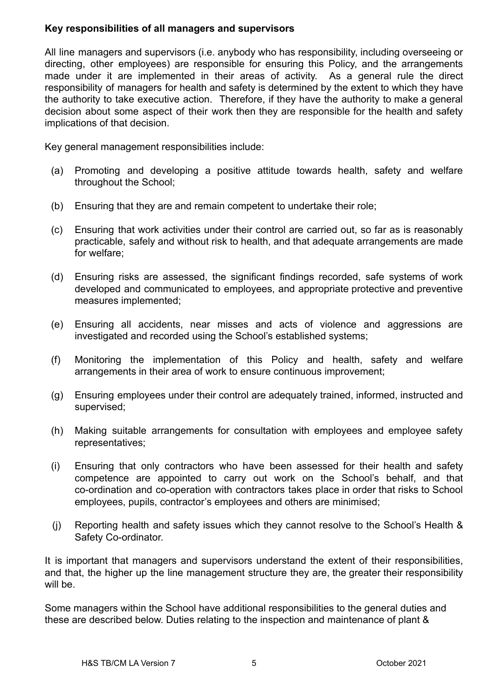## **Key responsibilities of all managers and supervisors**

All line managers and supervisors (i.e. anybody who has responsibility, including overseeing or directing, other employees) are responsible for ensuring this Policy, and the arrangements made under it are implemented in their areas of activity. As a general rule the direct responsibility of managers for health and safety is determined by the extent to which they have the authority to take executive action. Therefore, if they have the authority to make a general decision about some aspect of their work then they are responsible for the health and safety implications of that decision.

Key general management responsibilities include:

- (a) Promoting and developing a positive attitude towards health, safety and welfare throughout the School;
- (b) Ensuring that they are and remain competent to undertake their role;
- (c) Ensuring that work activities under their control are carried out, so far as is reasonably practicable, safely and without risk to health, and that adequate arrangements are made for welfare;
- (d) Ensuring risks are assessed, the significant findings recorded, safe systems of work developed and communicated to employees, and appropriate protective and preventive measures implemented;
- (e) Ensuring all accidents, near misses and acts of violence and aggressions are investigated and recorded using the School's established systems;
- (f) Monitoring the implementation of this Policy and health, safety and welfare arrangements in their area of work to ensure continuous improvement;
- (g) Ensuring employees under their control are adequately trained, informed, instructed and supervised;
- (h) Making suitable arrangements for consultation with employees and employee safety representatives;
- (i) Ensuring that only contractors who have been assessed for their health and safety competence are appointed to carry out work on the School's behalf, and that co-ordination and co-operation with contractors takes place in order that risks to School employees, pupils, contractor's employees and others are minimised;
- (j) Reporting health and safety issues which they cannot resolve to the School's Health & Safety Co-ordinator.

It is important that managers and supervisors understand the extent of their responsibilities, and that, the higher up the line management structure they are, the greater their responsibility will be.

Some managers within the School have additional responsibilities to the general duties and these are described below. Duties relating to the inspection and maintenance of plant &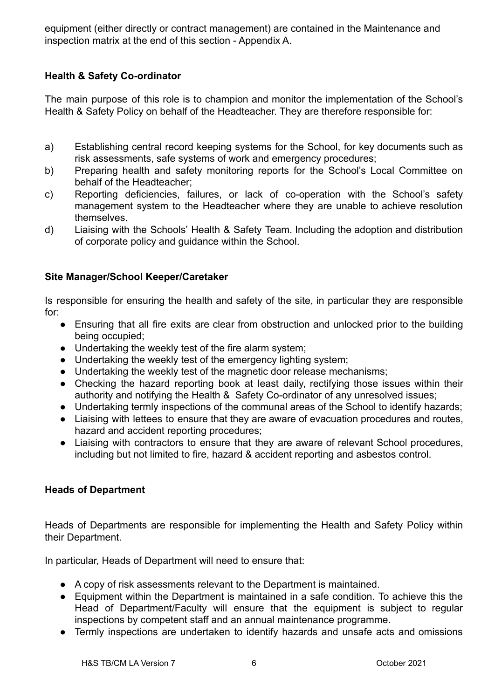equipment (either directly or contract management) are contained in the Maintenance and inspection matrix at the end of this section - Appendix A.

## **Health & Safety Co-ordinator**

The main purpose of this role is to champion and monitor the implementation of the School's Health & Safety Policy on behalf of the Headteacher. They are therefore responsible for:

- a) Establishing central record keeping systems for the School, for key documents such as risk assessments, safe systems of work and emergency procedures;
- b) Preparing health and safety monitoring reports for the School's Local Committee on behalf of the Headteacher;
- c) Reporting deficiencies, failures, or lack of co-operation with the School's safety management system to the Headteacher where they are unable to achieve resolution themselves.
- d) Liaising with the Schools' Health & Safety Team. Including the adoption and distribution of corporate policy and guidance within the School.

## **Site Manager/School Keeper/Caretaker**

Is responsible for ensuring the health and safety of the site, in particular they are responsible for:

- Ensuring that all fire exits are clear from obstruction and unlocked prior to the building being occupied;
- Undertaking the weekly test of the fire alarm system;
- Undertaking the weekly test of the emergency lighting system;
- Undertaking the weekly test of the magnetic door release mechanisms;
- Checking the hazard reporting book at least daily, rectifying those issues within their authority and notifying the Health & Safety Co-ordinator of any unresolved issues;
- Undertaking termly inspections of the communal areas of the School to identify hazards;
- Liaising with lettees to ensure that they are aware of evacuation procedures and routes, hazard and accident reporting procedures;
- Liaising with contractors to ensure that they are aware of relevant School procedures, including but not limited to fire, hazard & accident reporting and asbestos control.

#### **Heads of Department**

Heads of Departments are responsible for implementing the Health and Safety Policy within their Department.

In particular, Heads of Department will need to ensure that:

- A copy of risk assessments relevant to the Department is maintained.
- Equipment within the Department is maintained in a safe condition. To achieve this the Head of Department/Faculty will ensure that the equipment is subject to regular inspections by competent staff and an annual maintenance programme.
- Termly inspections are undertaken to identify hazards and unsafe acts and omissions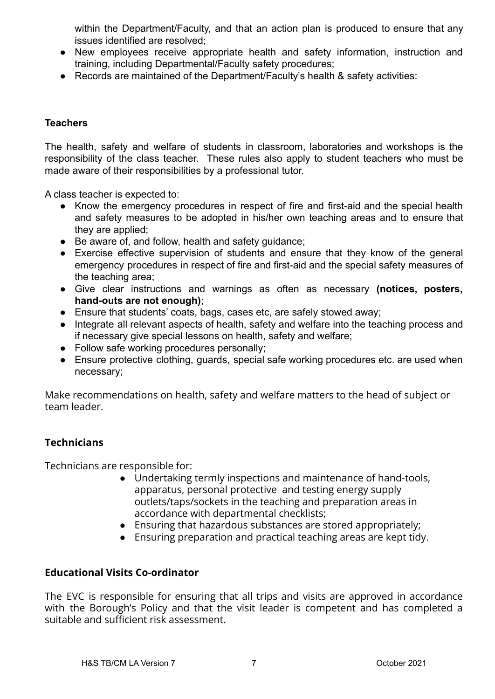within the Department/Faculty, and that an action plan is produced to ensure that any issues identified are resolved;

- New employees receive appropriate health and safety information, instruction and training, including Departmental/Faculty safety procedures;
- Records are maintained of the Department/Faculty's health & safety activities:

## **Teachers**

The health, safety and welfare of students in classroom, laboratories and workshops is the responsibility of the class teacher. These rules also apply to student teachers who must be made aware of their responsibilities by a professional tutor.

A class teacher is expected to:

- Know the emergency procedures in respect of fire and first-aid and the special health and safety measures to be adopted in his/her own teaching areas and to ensure that they are applied;
- Be aware of, and follow, health and safety quidance;
- Exercise effective supervision of students and ensure that they know of the general emergency procedures in respect of fire and first-aid and the special safety measures of the teaching area;
- Give clear instructions and warnings as often as necessary **(notices, posters, hand-outs are not enough)**;
- Ensure that students' coats, bags, cases etc, are safely stowed away;
- Integrate all relevant aspects of health, safety and welfare into the teaching process and if necessary give special lessons on health, safety and welfare;
- Follow safe working procedures personally;
- Ensure protective clothing, guards, special safe working procedures etc. are used when necessary;

Make recommendations on health, safety and welfare matters to the head of subject or team leader.

## **Technicians**

Technicians are responsible for:

- Undertaking termly inspections and maintenance of hand-tools, apparatus, personal protective and testing energy supply outlets/taps/sockets in the teaching and preparation areas in accordance with departmental checklists;
- Ensuring that hazardous substances are stored appropriately;
- Ensuring preparation and practical teaching areas are kept tidy.

#### **Educational Visits Co-ordinator**

The EVC is responsible for ensuring that all trips and visits are approved in accordance with the Borough's Policy and that the visit leader is competent and has completed a suitable and sufficient risk assessment.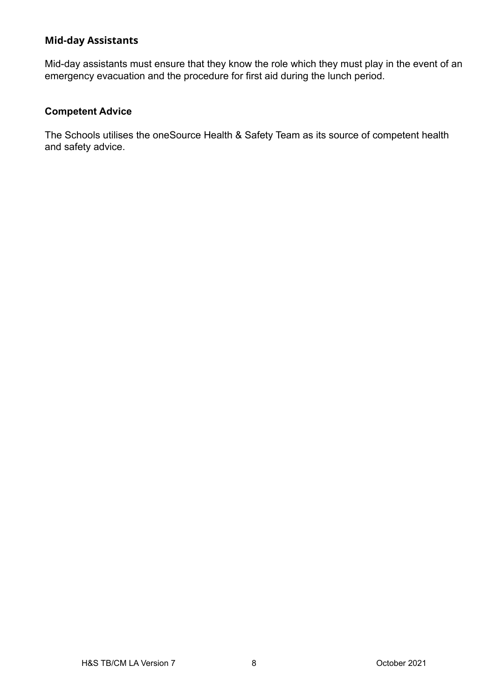## **Mid-day Assistants**

Mid-day assistants must ensure that they know the role which they must play in the event of an emergency evacuation and the procedure for first aid during the lunch period.

## **Competent Advice**

The Schools utilises the oneSource Health & Safety Team as its source of competent health and safety advice.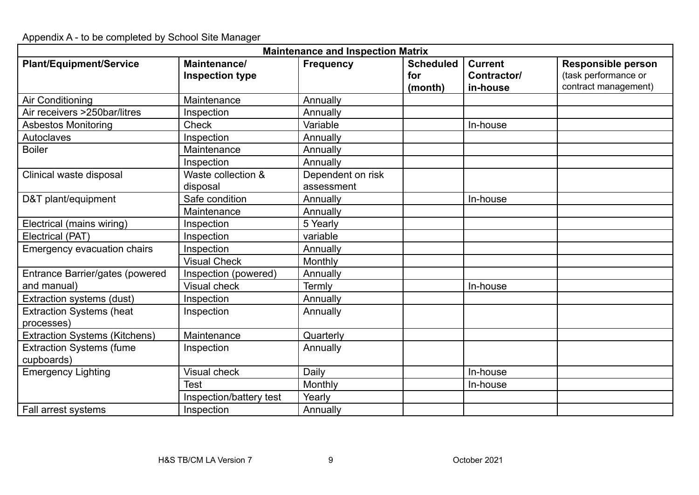Appendix A - to be completed by School Site Manager

| <b>Maintenance and Inspection Matrix</b>      |                                        |                                 |                                    |                                           |                                                                           |  |  |  |
|-----------------------------------------------|----------------------------------------|---------------------------------|------------------------------------|-------------------------------------------|---------------------------------------------------------------------------|--|--|--|
| <b>Plant/Equipment/Service</b>                | Maintenance/<br><b>Inspection type</b> | <b>Frequency</b>                | <b>Scheduled</b><br>for<br>(month) | <b>Current</b><br>Contractor/<br>in-house | <b>Responsible person</b><br>(task performance or<br>contract management) |  |  |  |
| Air Conditioning                              | Maintenance                            | Annually                        |                                    |                                           |                                                                           |  |  |  |
| Air receivers >250bar/litres                  | Inspection                             | Annually                        |                                    |                                           |                                                                           |  |  |  |
| <b>Asbestos Monitoring</b>                    | <b>Check</b>                           | Variable                        |                                    | In-house                                  |                                                                           |  |  |  |
| Autoclaves                                    | Inspection                             | Annually                        |                                    |                                           |                                                                           |  |  |  |
| <b>Boiler</b>                                 | Maintenance                            | Annually                        |                                    |                                           |                                                                           |  |  |  |
|                                               | Inspection                             | Annually                        |                                    |                                           |                                                                           |  |  |  |
| Clinical waste disposal                       | Waste collection &<br>disposal         | Dependent on risk<br>assessment |                                    |                                           |                                                                           |  |  |  |
| D&T plant/equipment                           | Safe condition                         | Annually                        |                                    | In-house                                  |                                                                           |  |  |  |
|                                               | Maintenance                            | Annually                        |                                    |                                           |                                                                           |  |  |  |
| Electrical (mains wiring)                     | Inspection                             | 5 Yearly                        |                                    |                                           |                                                                           |  |  |  |
| Electrical (PAT)                              | Inspection                             | variable                        |                                    |                                           |                                                                           |  |  |  |
| Emergency evacuation chairs                   | Inspection                             | Annually                        |                                    |                                           |                                                                           |  |  |  |
|                                               | <b>Visual Check</b>                    | Monthly                         |                                    |                                           |                                                                           |  |  |  |
| Entrance Barrier/gates (powered               | Inspection (powered)                   | Annually                        |                                    |                                           |                                                                           |  |  |  |
| and manual)                                   | <b>Visual check</b>                    | Termly                          |                                    | In-house                                  |                                                                           |  |  |  |
| Extraction systems (dust)                     | Inspection                             | Annually                        |                                    |                                           |                                                                           |  |  |  |
| <b>Extraction Systems (heat</b><br>processes) | Inspection                             | Annually                        |                                    |                                           |                                                                           |  |  |  |
| <b>Extraction Systems (Kitchens)</b>          | Maintenance                            | Quarterly                       |                                    |                                           |                                                                           |  |  |  |
| <b>Extraction Systems (fume</b><br>cupboards) | Inspection                             | Annually                        |                                    |                                           |                                                                           |  |  |  |
| <b>Emergency Lighting</b>                     | <b>Visual check</b>                    | Daily                           |                                    | In-house                                  |                                                                           |  |  |  |
|                                               | <b>Test</b>                            | Monthly                         |                                    | In-house                                  |                                                                           |  |  |  |
|                                               | Inspection/battery test                | Yearly                          |                                    |                                           |                                                                           |  |  |  |
| Fall arrest systems                           | Inspection                             | Annually                        |                                    |                                           |                                                                           |  |  |  |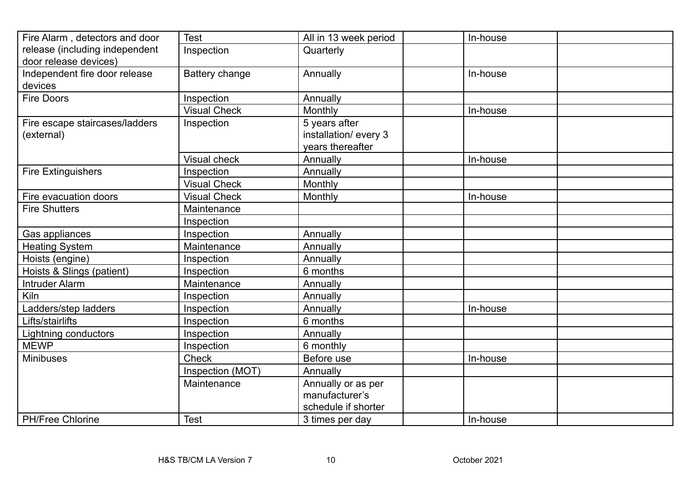| Fire Alarm, detectors and door | <b>Test</b>         | All in 13 week period | In-house |
|--------------------------------|---------------------|-----------------------|----------|
| release (including independent | Inspection          | Quarterly             |          |
| door release devices)          |                     |                       |          |
| Independent fire door release  | Battery change      | Annually              | In-house |
| devices                        |                     |                       |          |
| <b>Fire Doors</b>              | Inspection          | Annually              |          |
|                                | <b>Visual Check</b> | Monthly               | In-house |
| Fire escape staircases/ladders | Inspection          | 5 years after         |          |
| (external)                     |                     | installation/ every 3 |          |
|                                |                     | vears thereafter      |          |
|                                | <b>Visual check</b> | Annually              | In-house |
| <b>Fire Extinguishers</b>      | Inspection          | Annually              |          |
|                                | <b>Visual Check</b> | Monthly               |          |
| Fire evacuation doors          | <b>Visual Check</b> | Monthly               | In-house |
| <b>Fire Shutters</b>           | Maintenance         |                       |          |
|                                | Inspection          |                       |          |
| Gas appliances                 | Inspection          | Annually              |          |
| <b>Heating System</b>          | Maintenance         | Annually              |          |
| Hoists (engine)                | Inspection          | Annually              |          |
| Hoists & Slings (patient)      | Inspection          | 6 months              |          |
| <b>Intruder Alarm</b>          | Maintenance         | Annually              |          |
| Kiln                           | Inspection          | Annually              |          |
| Ladders/step ladders           | Inspection          | Annually              | In-house |
| Lifts/stairlifts               | Inspection          | 6 months              |          |
| Lightning conductors           | Inspection          | Annually              |          |
| <b>MEWP</b>                    | Inspection          | 6 monthly             |          |
| <b>Minibuses</b>               | <b>Check</b>        | Before use            | In-house |
|                                | Inspection (MOT)    | Annually              |          |
|                                | Maintenance         | Annually or as per    |          |
|                                |                     | manufacturer's        |          |
|                                |                     | schedule if shorter   |          |
| PH/Free Chlorine               | <b>Test</b>         | 3 times per day       | In-house |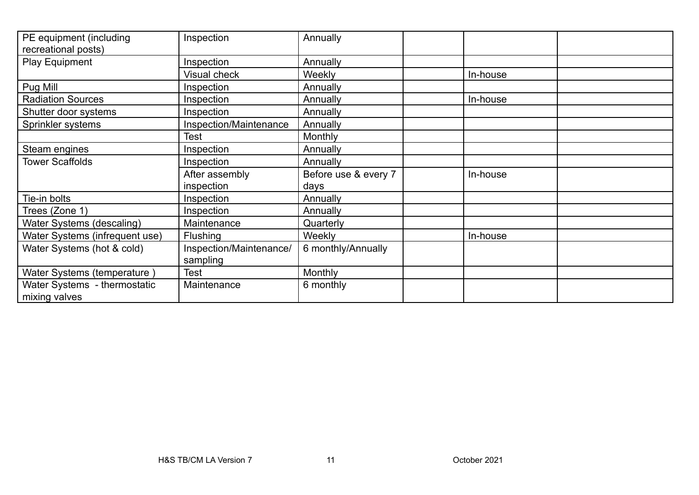| PE equipment (including<br>recreational posts) | Inspection              | Annually             |          |  |
|------------------------------------------------|-------------------------|----------------------|----------|--|
| Play Equipment                                 | Inspection              | Annually             |          |  |
|                                                | Visual check            | <b>Weekly</b>        | In-house |  |
| Pug Mill                                       | Inspection              | Annually             |          |  |
| <b>Radiation Sources</b>                       | Inspection              | Annually             | In-house |  |
| Shutter door systems                           | Inspection              | Annually             |          |  |
| Sprinkler systems                              | Inspection/Maintenance  | Annually             |          |  |
|                                                | Test                    | Monthly              |          |  |
| Steam engines                                  | Inspection              | Annually             |          |  |
| <b>Tower Scaffolds</b>                         | Inspection              | Annually             |          |  |
|                                                | After assembly          | Before use & every 7 | In-house |  |
|                                                | inspection              | days                 |          |  |
| Tie-in bolts                                   | Inspection              | Annually             |          |  |
| Trees (Zone 1)                                 | Inspection              | Annually             |          |  |
| Water Systems (descaling)                      | Maintenance             | Quarterly            |          |  |
| Water Systems (infrequent use)                 | <b>Flushing</b>         | <b>Weekly</b>        | In-house |  |
| Water Systems (hot & cold)                     | Inspection/Maintenance/ | 6 monthly/Annually   |          |  |
|                                                | sampling                |                      |          |  |
| Water Systems (temperature)                    | <b>Test</b>             | <b>Monthly</b>       |          |  |
| Water Systems - thermostatic<br>mixing valves  | Maintenance             | 6 monthly            |          |  |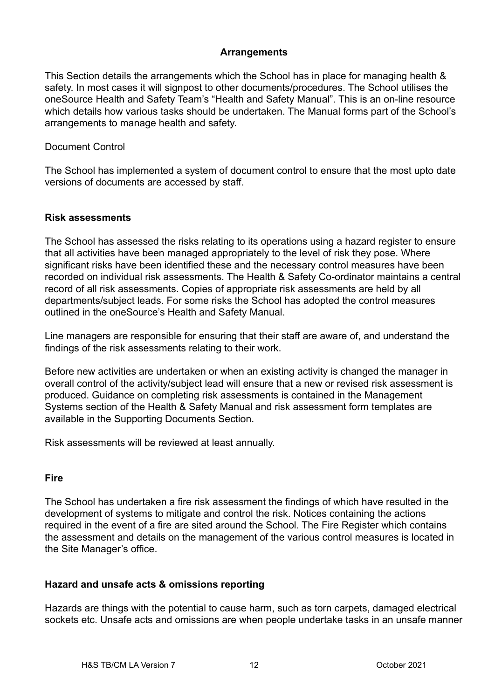#### **Arrangements**

This Section details the arrangements which the School has in place for managing health & safety. In most cases it will signpost to other documents/procedures. The School utilises the oneSource Health and Safety Team's "Health and Safety Manual". This is an on-line resource which details how various tasks should be undertaken. The Manual forms part of the School's arrangements to manage health and safety.

## Document Control

The School has implemented a system of document control to ensure that the most upto date versions of documents are accessed by staff.

## **Risk assessments**

The School has assessed the risks relating to its operations using a hazard register to ensure that all activities have been managed appropriately to the level of risk they pose. Where significant risks have been identified these and the necessary control measures have been recorded on individual risk assessments. The Health & Safety Co-ordinator maintains a central record of all risk assessments. Copies of appropriate risk assessments are held by all departments/subject leads. For some risks the School has adopted the control measures outlined in the oneSource's Health and Safety Manual.

Line managers are responsible for ensuring that their staff are aware of, and understand the findings of the risk assessments relating to their work.

Before new activities are undertaken or when an existing activity is changed the manager in overall control of the activity/subject lead will ensure that a new or revised risk assessment is produced. Guidance on completing risk assessments is contained in the Management Systems section of the Health & Safety Manual and risk assessment form templates are available in the Supporting Documents Section.

Risk assessments will be reviewed at least annually.

#### **Fire**

The School has undertaken a fire risk assessment the findings of which have resulted in the development of systems to mitigate and control the risk. Notices containing the actions required in the event of a fire are sited around the School. The Fire Register which contains the assessment and details on the management of the various control measures is located in the Site Manager's office.

#### **Hazard and unsafe acts & omissions reporting**

Hazards are things with the potential to cause harm, such as torn carpets, damaged electrical sockets etc. Unsafe acts and omissions are when people undertake tasks in an unsafe manner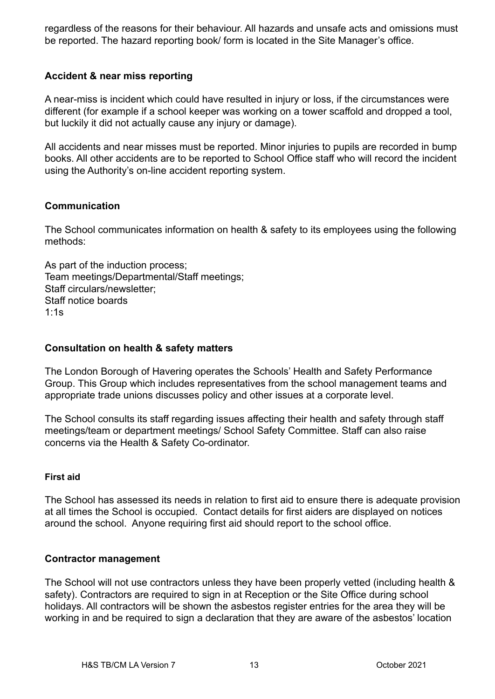regardless of the reasons for their behaviour. All hazards and unsafe acts and omissions must be reported. The hazard reporting book/ form is located in the Site Manager's office.

## **Accident & near miss reporting**

A near-miss is incident which could have resulted in injury or loss, if the circumstances were different (for example if a school keeper was working on a tower scaffold and dropped a tool, but luckily it did not actually cause any injury or damage).

All accidents and near misses must be reported. Minor injuries to pupils are recorded in bump books. All other accidents are to be reported to School Office staff who will record the incident using the Authority's on-line accident reporting system.

#### **Communication**

The School communicates information on health & safety to its employees using the following methods:

As part of the induction process; Team meetings/Departmental/Staff meetings; Staff circulars/newsletter; Staff notice boards 1:1s

#### **Consultation on health & safety matters**

The London Borough of Havering operates the Schools' Health and Safety Performance Group. This Group which includes representatives from the school management teams and appropriate trade unions discusses policy and other issues at a corporate level.

The School consults its staff regarding issues affecting their health and safety through staff meetings/team or department meetings/ School Safety Committee. Staff can also raise concerns via the Health & Safety Co-ordinator.

#### **First aid**

The School has assessed its needs in relation to first aid to ensure there is adequate provision at all times the School is occupied. Contact details for first aiders are displayed on notices around the school. Anyone requiring first aid should report to the school office.

#### **Contractor management**

The School will not use contractors unless they have been properly vetted (including health & safety). Contractors are required to sign in at Reception or the Site Office during school holidays. All contractors will be shown the asbestos register entries for the area they will be working in and be required to sign a declaration that they are aware of the asbestos' location